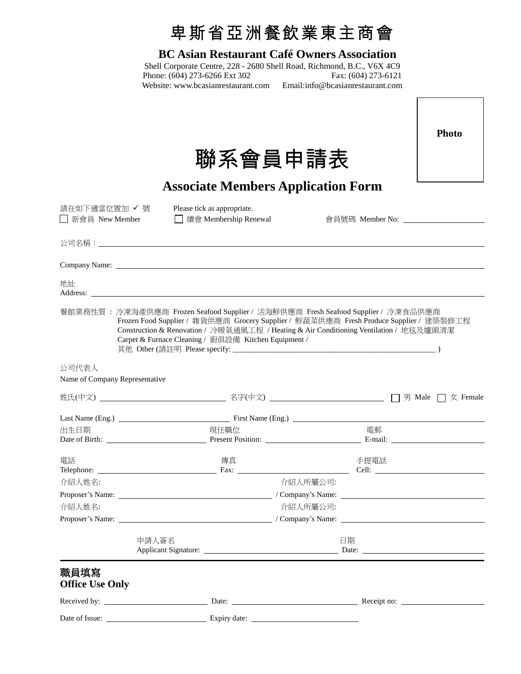|                                         | 卑斯省亞洲餐飲業東主商會                                                                                                                                                                                                                                                                                                                  |          |                                |
|-----------------------------------------|-------------------------------------------------------------------------------------------------------------------------------------------------------------------------------------------------------------------------------------------------------------------------------------------------------------------------------|----------|--------------------------------|
|                                         | <b>BC Asian Restaurant Café Owners Association</b><br>Shell Corporate Centre, 228 - 2680 Shell Road, Richmond, B.C., V6X 4C9<br>Phone: (604) 273-6266 Ext 302<br>Phone: (604) 273-6266 Ext 302 Fax: (604) 273-6121<br>Website: www.bcasianrestaurant.com Email:info@bcasianrestaurant.com                                     |          |                                |
|                                         | 聯系會員申請表                                                                                                                                                                                                                                                                                                                       |          | <b>Photo</b>                   |
|                                         | <b>Associate Members Application Form</b>                                                                                                                                                                                                                                                                                     |          |                                |
| 請在如下適當位置加 ✔ 號<br>□ 新會員 New Member       | Please tick as appropriate.<br>□ 續會 Membership Renewal                                                                                                                                                                                                                                                                        |          | 會員號碼 Member No: ______________ |
|                                         |                                                                                                                                                                                                                                                                                                                               |          |                                |
|                                         |                                                                                                                                                                                                                                                                                                                               |          |                                |
| 地址                                      | Address:                                                                                                                                                                                                                                                                                                                      |          |                                |
|                                         | 餐館業務性質: 冷凍海產供應商 Frozen Seafood Supplier / 活海鮮供應商 Fresh Seafood Supplier / 冷凍食品供應商<br>Frozen Food Supplier / 雜貨供應商 Grocery Supplier / 鮮蔬菜供應商 Fresh Produce Supplier / 建築裝修工程<br>Construction & Renovation / 冷暖氣通風工程 / Heating & Air Conditioning Ventilation / 地毯及爐頭清潔<br>Carpet & Furnace Cleaning / 廚俱設備 Kitchen Equipment / |          |                                |
| 公司代表人<br>Name of Company Representative |                                                                                                                                                                                                                                                                                                                               |          |                                |
| 姓氏(中文)_                                 |                                                                                                                                                                                                                                                                                                                               |          | □ 男 Male □ 女 Female            |
|                                         | Last Name (Eng.) First Name (Eng.) First Name (Eng.)                                                                                                                                                                                                                                                                          |          |                                |
| 出生日期                                    | 現任職位                                                                                                                                                                                                                                                                                                                          | 雷郵       |                                |
| 電話                                      | 傳真                                                                                                                                                                                                                                                                                                                            | 手提電話     |                                |
| 介紹人姓名:                                  |                                                                                                                                                                                                                                                                                                                               | 介紹人所屬公司: |                                |
|                                         |                                                                                                                                                                                                                                                                                                                               |          |                                |
| 介紹人姓名:                                  | 介紹人所屬公司:                                                                                                                                                                                                                                                                                                                      |          |                                |
|                                         |                                                                                                                                                                                                                                                                                                                               |          |                                |
| 申請人簽名                                   |                                                                                                                                                                                                                                                                                                                               | 日期       |                                |
| 職員填寫<br><b>Office Use Only</b>          |                                                                                                                                                                                                                                                                                                                               |          |                                |
|                                         |                                                                                                                                                                                                                                                                                                                               |          |                                |
|                                         |                                                                                                                                                                                                                                                                                                                               |          |                                |